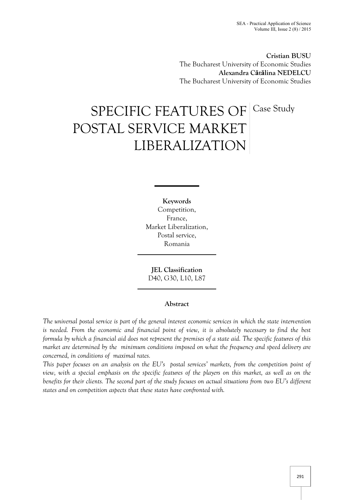**Cristian BUSU** The Bucharest University of Economic Studies **Alexandra Cătălina NEDELCU** The Bucharest University of Economic Studies

# SPECIFIC FEATURES OF POSTAL SERVICE MARKET LIBERALIZATION Case Study

**Keywords** Competition, France, Market Liberalization, Postal service, Romania

**JEL Classification** D40, G30, L10, L87

# **Abstract**

*The universal postal service is part of the general interest economic services in which the state intervention is needed. From the economic and financial point of view, it is absolutely necessary to find the best formula by which a financial aid does not represent the premises of a state aid. The specific features of this market are determined by the minimum conditions imposed on what the frequency and speed delivery are concerned, in conditions of maximal rates.*

*This paper focuses on an analysis on the EU's postal services' markets, from the competition point of view, with a special emphasis on the specific features of the players on this market, as well as on the benefits for their clients. The second part of the study focuses on actual situations from two EU's different states and on competition aspects that these states have confronted with.*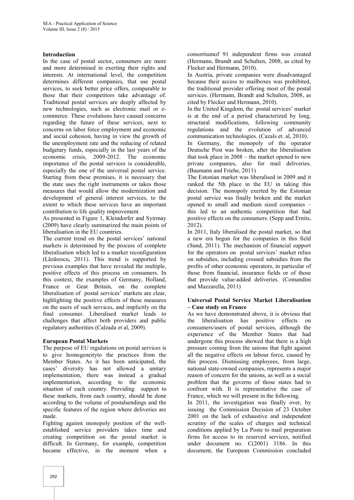#### **Introduction**

In the case of postal sector, consumers are more and more determined in exerting their rights and interests. At international level, the competition determines different companies, that use postal services, to seek better price offers, comparable to those that their competitors take advantage of. Traditional postal services are deeply affected by new technologies, such as electronic mail or e commerce. These evolutions have caused concerns regarding the future of these services, next to concerns on labor force employment and economic and social cohesion, having in view the growth of the unemployment rate and the reducing of related budgetary funds, especially in the last years of the economic crisis, 2009-2012. The economic importance of the postal services is considerable, especially the one of the universal postal service. Starting from these premises, it is necessary that the state uses the right instruments or takes those measures that would allow the modernization and development of general interest services, to the extent to which these services have an important contribution to life quality improvement.

As presented in Figure 1, Kleindorfer and Syirmay (2009) have clearly summarized the main points of liberalisation in the EU countries.

The current trend on the postal services' national markets is determined by the process of complete liberalisation which led to a market reconfiguration (Lăzărescu, 2011). This trend is supported by previous examples that have revealed the multiple, positive effects of this process on consumers. In this context, the examples of Germany, Holland, France or Geat Britain, on the complete liberalisation of postal services' markets are clear, highlighting the positive effects of these measures on the users of such services, and implicitly on the final consumer. Liberalised market leads to challenges that affect both providers and public regulatory authorities (Calzada et al, 2009).

## **European Postal Markets**

The purpose of EU regulations on postal services is to give homogeneityto the practices from the Member States. As it has been anticipated, the cases' diversity has not allowed a unitary implementation, there was instead a gradual implementation, according to the economic situation of each country. Providing support to these markets, from each country, should be done according to the volume of postalsendings and the specific features of the region where deliveries are made.

Fighting against monopoly position of the well established service providers takes time and creating competition on the postal market is difficult. In Germany, for example, competition became effective, in the moment when a

consortiumof 91 independent firms was created (Hermann, Brandt and Schulten, 2008, as cited by Flecker and Hermann, 2010).

In Austria, private companies were disadvantaged because their access to mailboxes was prohibited, the traditional provider offering most of the postal services. (Hermann, Brandt and Schulten, 2008, as cited by Flecker and Hermann, 2010).

In the United Kingdom, the postal services' market is at the end of a period characterized by long, structural modifications, following community regulations and the evolution of advanced communication technologies. (Cazals et. al, 2010).

In Germany, the monopoly of the operator Deutsche Post was broken, after the liberalisation that took place in 2008 – the market opened to new private companies, also for mail deliveries. (Baumann and Friehe, 2011)

The Estonian market was liberalised in 2009 and it ranked the 5th place in the EU in taking this decision. The monopoly exerted by the Estonian postal service was finally broken and the market opened to small and medium sized companies – this led to an authentic competition that had positive effects on the consumers. (Sepp and Ernits, 2012).

In 2011, Italy liberalised the postal market, so that a new era begun for the companies in this field (Sund, 2011). The mechanism of financial support for the operators on postal services' market relies on subsidies, including crossed subsidies from the profits of other economic operators, in particular of those from financial, insurance fields or of those that provide value-added deliveries. (Comandini and Mazzarella, 2011)

#### **Universal Postal Service Market Liberalisation – Case study on France**

As we have demonstrated above, it is obvious that the liberalisation has positive effects on consumers/users of postal services, although the experience of the Member States that had undergone this process showed that there is a high pressure coming from the unions that fight against all the negative effects on labour force, caused by this process. Dismissing employees, from large, national state-owned companies, represents a major reason of concern for the unions, as well as a social problem that the governs of those states had to confront with. It is representative the case of France, which we will present in the following.

In 2011, the investigation was finally over, by issuing the Commission Decision of 23 October 2001 on the lack of exhaustive and independent scrutiny of the scales of charges and technical conditions applied by La Poste to mail preparation firms for access to its reserved services, notified under document no. C(2001) 3186. In this document, the European Commission concluded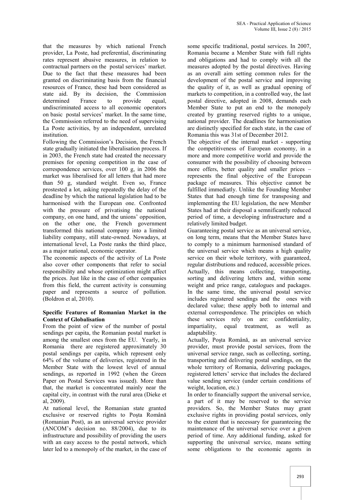that the measures by which national French provider, La Poste, had preferential, discriminating rates represent abusive measures, in relation to contractual partners on the postal services' market. Due to the fact that these measures had been granted on discriminating basis from the financial resources of France, these had been considered as state aid. By its decision, the Commission determined France to provide equal, undiscriminated access to all economic operators on basic postal services' market. In the same time, the Commission referred to the need of supervising La Poste activities, by an independent, unrelated institution.

Following the Commission's Decision, the French state gradually initiated the liberalisation process. If in 2003, the French state had created the necessary premises for opening competition in the case of correspondence services, over 100 g, in 2006 the market was liberalised for all letters that had more than 50 g, standard weight. Even so, France prostested a lot, asking repeatedly the delay of the deadline by which the national legislation had to be harmonised with the European one. Confronted with the pressure of privatising the national company, on one hand, and the unions' opposition, on the other one, the French government transformed this national company into a limited liability company, still state-owned. Nowadays, at international level, La Poste ranks the third place, as a major national, economic operator.

The economic aspects of the activity of La Poste also cover other components that refer to social responsibility and whose optimization might affect the prices. Just like in the case of other companies from this field, the current activity is consuming paper and represents a source of pollution. (Boldron et al, 2010).

## **Specific Features of Romanian Market in the Context of Globalisation**

From the point of view of the number of postal sendings per capita, the Romanian postal market is among the smallest ones from the EU. Yearly, in Romania there are registered approximately 30 postal sendings per capita, which represent only 64% of the volume of deliveries, registered in the Member State with the lowest level of annual sendings, as reported in 1992 (when the Green Paper on Postal Services was issued). More than that, the market is concentrated mainly near the capital city, in contrast with the rural area (Dieke et al, 2009).

At national level, the Romanian state granted exclusive or reserved rights to Posta Română (Romanian Post), as an universal service provider (ANCOM's decision no. 88/2004), due to its infrastructure and possibility of providing the users with an easy access to the postal network, which later led to a monopoly of the market, in the case of

some specific traditional, postal services. In 2007, Romania became a Member State with full rights and obligations and had to comply with all the measures adopted by the postal directives. Having as an overall aim setting common rules for the development of the postal service and improving the quality of it, as well as gradual opening of markets to competition, in a controlled way, the last postal directive, adopted in 2008, demands each Member State to put an end to the monopoly created by granting reserved rights to a unique, national provider. The deadlines for harmonisation are distinctly specified for each state, in the case of Romania this was 31st of December 2012.

The objective of the internal market - supporting the competitiveness of European economy, in a more and more competitive world and provide the consumer with the possibility of choosing between more offers, better quality and smaller prices – represents the final objective of the European package of measures. This objective cannot be fulfilled immediatly. Unlike the Founding Member States that had enough time for transposing and implementing the EU legislation, the new Member States had at their disposal a semnificantly reduced period of time, a developing infrastructure and a relatively limited budget.

Guaranteeing postal service as an universal service, on long term, means that the Member States have to comply to a minimum harmonised standard of the universal service which means a high quality service on their whole territory, with guaranteed, regular distributions and reduced, accessible prices. Actually, this means collecting, transporting, sorting and delivering letters and, within some weight and price range, catalogues and packages. In the same time, the universal postal service includes registered sendings and the ones with declared value; these apply both to internal and external correspondence. The principles on which these services rely on are: confidentiality, impartiality, equal treatment, as well as adaptability.

Actually, Poşta Română, as an universal service provider, must provide postal services, from the universal service range, such as collecting, sorting, transporting and delivering postal sendings, on the whole territory of Romania, delivering packages, registered letters' service that includes the declared value sending service (under certain conditions of weight, location, etc.)

In order to financially support the universal service, a part of it may be reserved to the service providers. So, the Member States may grant exclusive rights in providing postal services, only to the extent that is necessary for guaranteeing the maintenance of the universal service over a given period of time. Any additional funding, asked for supporting the universal service, means setting some obligations to the economic agents in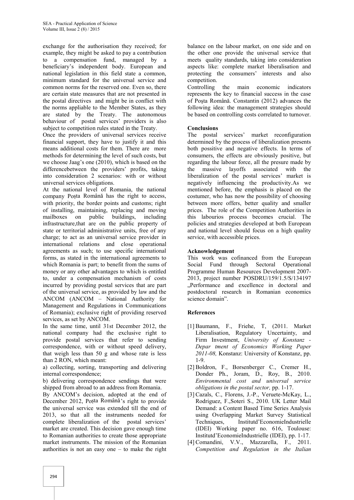exchange for the authorisation they received; for example, they might be asked to pay a contribution to a compensation fund, managed by a beneficiary's independent body. European and national legislation in this field state a common, minimum standard for the universal service and common norms for the reserved one. Even so, there are certain state measures that are not presented in the postal directives and might be in conflict with the norms appliable to the Member States, as they are stated by the Treaty. The autonomous behaviour of postal services' providers is also subject to competition rules stated in the Treaty.

Once the providers of universal services receive financial support, they have to justify it and this means additional costs for them. There are more methods for determining the level of such costs, but we choose Jaag's one (2010), which is based on the differencebetween the providers' profits, taking into consideration 2 scenarios: with or without universal services obligations.

At the national level of Romania, the national company Poșta Română has the right to access, with priority, the border points and customs; right of installing, maintaining, replacing and moving mailboxes on public buildings, including infrastructure,that are on the public property of state or territorial administrative units, free of any charge; to act as an universal service provider in international relations and close operational agreements as such; to use specific international forms, as stated in the international agreements to which Romania is part; to benefit from the sums of money or any other advantages to which is entitled to, under a compensation mechanism of costs incurred by providing postal services that are part of the universal service, as provided by law and the ANCOM (ANCOM – National Authority for Management and Regulations in Communications of Romania); exclusive right of providing reserved services, as set by ANCOM.

In the same time, until 31st December 2012, the national company had the exclusive right to provide postal services that refer to sending correspondence, with or without speed delivery, that weigh less than 50 g and whose rate is less than 2 RON, which meant:

a) collecting, sorting, transporting and delivering internal correspondence;

b) delivering correspondence sendings that were shipped from abroad to an address from Romania.

By ANCOM's decision, adopted at the end of December 2012, Poșta Română's right to provide the universal service was extended till the end of 2013, so that all the instruments needed for complete liberalization of the postal services' market are created. This decision gave enough time to Romanian authorities to create those appropriate market instruments. The mission of the Romanian authorities is not an easy one  $-$  to make the right

balance on the labour market, on one side and on the other one provide the universal service that meets quality standards, taking into consideration aspects like: complete market liberalisation and protecting the consumers' interests and also competition.

Controlling the main economic indicators represents the key to financial success in the case of Poşta Română. Constantin (2012) advances the following idea: the management strategies should be based on controlling costs correlated to turnover.

# **Conclusions**

The postal services' market reconfiguration determined by the process of liberalization presents both possitive and negative effects. In terms of consumers, the effects are obviously positive, but regarding the labour force, all the presure made by massive layoffs associated with the liberalization of the postal services' market is negatively influencing the productivity.As we mentioned before, the emphasis is placed on the costumer, who has now the possibility of choosing between more offers, better quality and smaller prices. The role of the Competition Authorities in this labourios process becomes crucial. The policies and strategies developed at both European and national level should focus on a high quality service, with accessible prices.

# **Acknowledgement**

This work was cofinanced from the European Social Fund through Sectoral Operational Programme Human Resources Development 2007- 2013, project number POSDRU/159/1.5/S/134197 ..Performance and excellence in doctoral and postdoctoral research in Romanian economics science domain".

# **References**

- [1] Baumann, F., Friehe, T, (2011. Market Liberalisation, Regulatory Uncertainty, and Firm Investment, *University of Konstanz - Depar tment of Economics Working Paper 2011-08,* Konstanz: University of Konstanz, pp. 1-9.
- [2] Boldron, F., Borsenberger C., Cremer H., Donder Ph., Joram, D., Roy, B., 2010. *Environmental cost and universal service obligations in the postal sector,* pp. 1-17.
- [3] Cazals, C., Florens, J.-P., Veruete-McKay, L., Rodriguez, F.,Soteri S., 2010. UK Letter Mail Demand: a Content Based Time Series Analysis using Overlapping Market Survey Statistical Techniques, Institutd'EconomieIndustrielle (IDEI) Working paper no. 616, Toulouse: Institutd'EconomieIndustrielle (IDEI), pp. 1-17.
- [4] Comandini, V.V., Mazzarella, F., 2011. *Competition and Regulation in the Italian*